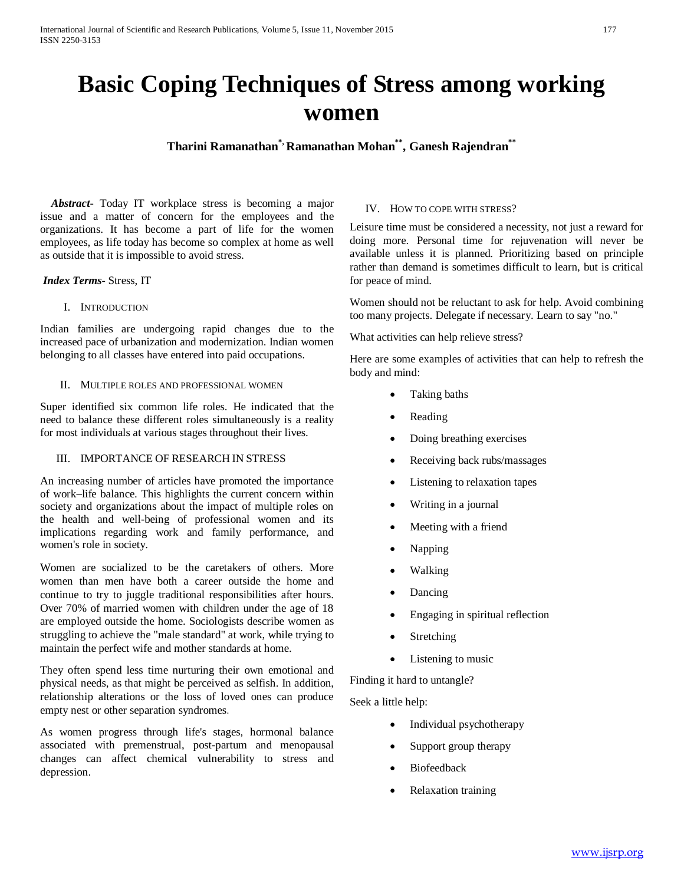# **Basic Coping Techniques of Stress among working women**

**Tharini Ramanathan\*, Ramanathan Mohan\*\* , Ganesh Rajendran\*\***

 *Abstract***-** Today IT workplace stress is becoming a major issue and a matter of concern for the employees and the organizations. It has become a part of life for the women employees, as life today has become so complex at home as well as outside that it is impossible to avoid stress.

## *Index Terms*- Stress, IT

## I. INTRODUCTION

Indian families are undergoing rapid changes due to the increased pace of urbanization and modernization. Indian women belonging to all classes have entered into paid occupations.

#### II. MULTIPLE ROLES AND PROFESSIONAL WOMEN

Super identified six common life roles. He indicated that the need to balance these different roles simultaneously is a reality for most individuals at various stages throughout their lives.

## III. IMPORTANCE OF RESEARCH IN STRESS

An increasing number of articles have promoted the importance of work–life balance. This highlights the current concern within society and organizations about the impact of multiple roles on the health and well-being of professional women and its implications regarding work and family performance, and women's role in society.

Women are socialized to be the caretakers of others. More women than men have both a career outside the home and continue to try to juggle traditional responsibilities after hours. Over 70% of married women with children under the age of 18 are employed outside the home. Sociologists describe women as struggling to achieve the "male standard" at work, while trying to maintain the perfect wife and mother standards at home.

They often spend less time nurturing their own emotional and physical needs, as that might be perceived as selfish. In addition, relationship alterations or the loss of loved ones can produce empty nest or other separation syndromes.

As women progress through life's stages, hormonal balance associated with premenstrual, post-partum and menopausal changes can affect chemical vulnerability to stress and depression.

## IV. HOW TO COPE WITH STRESS?

Leisure time must be considered a necessity, not just a reward for doing more. Personal time for rejuvenation will never be available unless it is planned. Prioritizing based on principle rather than demand is sometimes difficult to learn, but is critical for peace of mind.

Women should not be reluctant to ask for help. Avoid combining too many projects. Delegate if necessary. Learn to say "no."

What activities can help relieve stress?

Here are some examples of activities that can help to refresh the body and mind:

- Taking baths
- Reading
- Doing breathing exercises
- Receiving back rubs/massages
- Listening to relaxation tapes
- Writing in a journal
- Meeting with a friend
- Napping
- Walking
- Dancing
- Engaging in spiritual reflection
- **Stretching**
- Listening to music

Finding it hard to untangle?

Seek a little help:

- Individual psychotherapy
- Support group therapy
- **Biofeedback**
- Relaxation training